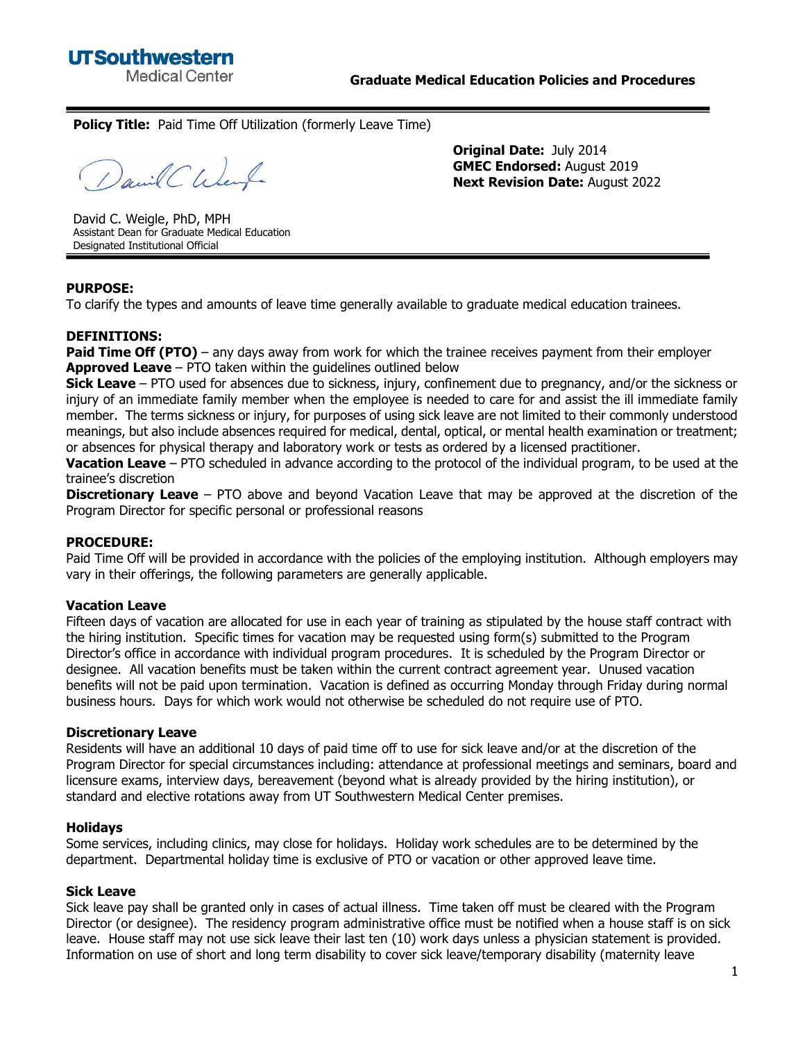**Policy Title:** Paid Time Off Utilization (formerly Leave Time)

David CWent

**Original Date:** July 2014 **GMEC Endorsed:** August 2019 **Next Revision Date:** August 2022

David C. Weigle, PhD, MPH Assistant Dean for Graduate Medical Education Designated Institutional Official

## **PURPOSE:**

To clarify the types and amounts of leave time generally available to graduate medical education trainees.

## **DEFINITIONS:**

**Paid Time Off (PTO)** – any days away from work for which the trainee receives payment from their employer **Approved Leave** – PTO taken within the guidelines outlined below

**Sick Leave** – PTO used for absences due to sickness, injury, confinement due to pregnancy, and/or the sickness or injury of an immediate family member when the employee is needed to care for and assist the ill immediate family member. The terms sickness or injury, for purposes of using sick leave are not limited to their commonly understood meanings, but also include absences required for medical, dental, optical, or mental health examination or treatment; or absences for physical therapy and laboratory work or tests as ordered by a licensed practitioner.

**Vacation Leave** – PTO scheduled in advance according to the protocol of the individual program, to be used at the trainee's discretion

**Discretionary Leave** – PTO above and beyond Vacation Leave that may be approved at the discretion of the Program Director for specific personal or professional reasons

## **PROCEDURE:**

Paid Time Off will be provided in accordance with the policies of the employing institution. Although employers may vary in their offerings, the following parameters are generally applicable.

## **Vacation Leave**

Fifteen days of vacation are allocated for use in each year of training as stipulated by the house staff contract with the hiring institution. Specific times for vacation may be requested using form(s) submitted to the Program Director's office in accordance with individual program procedures. It is scheduled by the Program Director or designee. All vacation benefits must be taken within the current contract agreement year. Unused vacation benefits will not be paid upon termination. Vacation is defined as occurring Monday through Friday during normal business hours. Days for which work would not otherwise be scheduled do not require use of PTO.

### **Discretionary Leave**

Residents will have an additional 10 days of paid time off to use for sick leave and/or at the discretion of the Program Director for special circumstances including: attendance at professional meetings and seminars, board and licensure exams, interview days, bereavement (beyond what is already provided by the hiring institution), or standard and elective rotations away from UT Southwestern Medical Center premises.

### **Holidays**

Some services, including clinics, may close for holidays. Holiday work schedules are to be determined by the department. Departmental holiday time is exclusive of PTO or vacation or other approved leave time.

### **Sick Leave**

Sick leave pay shall be granted only in cases of actual illness. Time taken off must be cleared with the Program Director (or designee). The residency program administrative office must be notified when a house staff is on sick leave. House staff may not use sick leave their last ten (10) work days unless a physician statement is provided. Information on use of short and long term disability to cover sick leave/temporary disability (maternity leave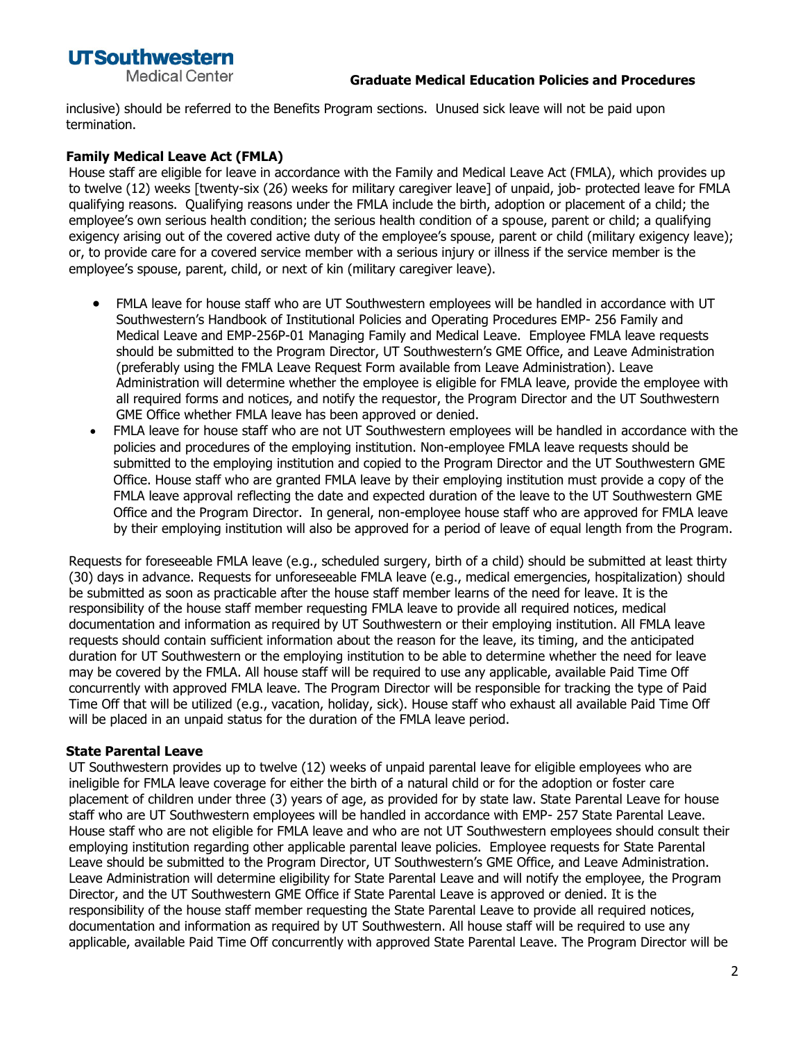# **UTSouthwestern Medical Center**

## **Graduate Medical Education Policies and Procedures**

inclusive) should be referred to the Benefits Program sections. Unused sick leave will not be paid upon termination.

# **Family Medical Leave Act (FMLA)**

House staff are eligible for leave in accordance with the Family and Medical Leave Act (FMLA), which provides up to twelve (12) weeks [twenty-six (26) weeks for military caregiver leave] of unpaid, job- protected leave for FMLA qualifying reasons. Qualifying reasons under the FMLA include the birth, adoption or placement of a child; the employee's own serious health condition; the serious health condition of a spouse, parent or child; a qualifying exigency arising out of the covered active duty of the employee's spouse, parent or child (military exigency leave); or, to provide care for a covered service member with a serious injury or illness if the service member is the employee's spouse, parent, child, or next of kin (military caregiver leave).

- FMLA leave for house staff who are UT Southwestern employees will be handled in accordance with UT Southwestern's Handbook of Institutional Policies and Operating Procedures EMP- 256 Family and Medical Leave and EMP-256P-01 Managing Family and Medical Leave. Employee FMLA leave requests should be submitted to the Program Director, UT Southwestern's GME Office, and Leave Administration (preferably using the FMLA Leave Request Form available from Leave Administration). Leave Administration will determine whether the employee is eligible for FMLA leave, provide the employee with all required forms and notices, and notify the requestor, the Program Director and the UT Southwestern GME Office whether FMLA leave has been approved or denied.
- FMLA leave for house staff who are not UT Southwestern employees will be handled in accordance with the policies and procedures of the employing institution. Non-employee FMLA leave requests should be submitted to the employing institution and copied to the Program Director and the UT Southwestern GME Office. House staff who are granted FMLA leave by their employing institution must provide a copy of the FMLA leave approval reflecting the date and expected duration of the leave to the UT Southwestern GME Office and the Program Director. In general, non-employee house staff who are approved for FMLA leave by their employing institution will also be approved for a period of leave of equal length from the Program.

Requests for foreseeable FMLA leave (e.g., scheduled surgery, birth of a child) should be submitted at least thirty (30) days in advance. Requests for unforeseeable FMLA leave (e.g., medical emergencies, hospitalization) should be submitted as soon as practicable after the house staff member learns of the need for leave. It is the responsibility of the house staff member requesting FMLA leave to provide all required notices, medical documentation and information as required by UT Southwestern or their employing institution. All FMLA leave requests should contain sufficient information about the reason for the leave, its timing, and the anticipated duration for UT Southwestern or the employing institution to be able to determine whether the need for leave may be covered by the FMLA. All house staff will be required to use any applicable, available Paid Time Off concurrently with approved FMLA leave. The Program Director will be responsible for tracking the type of Paid Time Off that will be utilized (e.g., vacation, holiday, sick). House staff who exhaust all available Paid Time Off will be placed in an unpaid status for the duration of the FMLA leave period.

# **State Parental Leave**

UT Southwestern provides up to twelve (12) weeks of unpaid parental leave for eligible employees who are ineligible for FMLA leave coverage for either the birth of a natural child or for the adoption or foster care placement of children under three (3) years of age, as provided for by state law. State Parental Leave for house staff who are UT Southwestern employees will be handled in accordance with EMP- 257 State Parental Leave. House staff who are not eligible for FMLA leave and who are not UT Southwestern employees should consult their employing institution regarding other applicable parental leave policies. Employee requests for State Parental Leave should be submitted to the Program Director, UT Southwestern's GME Office, and Leave Administration. Leave Administration will determine eligibility for State Parental Leave and will notify the employee, the Program Director, and the UT Southwestern GME Office if State Parental Leave is approved or denied. It is the responsibility of the house staff member requesting the State Parental Leave to provide all required notices, documentation and information as required by UT Southwestern. All house staff will be required to use any applicable, available Paid Time Off concurrently with approved State Parental Leave. The Program Director will be